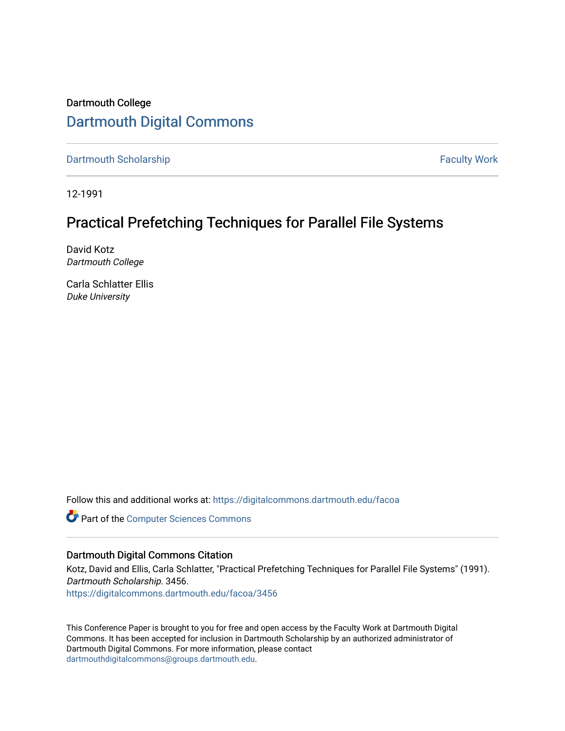# Dartmouth College [Dartmouth Digital Commons](https://digitalcommons.dartmouth.edu/)

[Dartmouth Scholarship](https://digitalcommons.dartmouth.edu/facoa) Faculty Work

12-1991

# Practical Prefetching Techniques for Parallel File Systems

David Kotz Dartmouth College

Carla Schlatter Ellis Duke University

Follow this and additional works at: [https://digitalcommons.dartmouth.edu/facoa](https://digitalcommons.dartmouth.edu/facoa?utm_source=digitalcommons.dartmouth.edu%2Ffacoa%2F3456&utm_medium=PDF&utm_campaign=PDFCoverPages)

**Part of the [Computer Sciences Commons](http://network.bepress.com/hgg/discipline/142?utm_source=digitalcommons.dartmouth.edu%2Ffacoa%2F3456&utm_medium=PDF&utm_campaign=PDFCoverPages)** 

## Dartmouth Digital Commons Citation

Kotz, David and Ellis, Carla Schlatter, "Practical Prefetching Techniques for Parallel File Systems" (1991). Dartmouth Scholarship. 3456. [https://digitalcommons.dartmouth.edu/facoa/3456](https://digitalcommons.dartmouth.edu/facoa/3456?utm_source=digitalcommons.dartmouth.edu%2Ffacoa%2F3456&utm_medium=PDF&utm_campaign=PDFCoverPages) 

This Conference Paper is brought to you for free and open access by the Faculty Work at Dartmouth Digital Commons. It has been accepted for inclusion in Dartmouth Scholarship by an authorized administrator of Dartmouth Digital Commons. For more information, please contact [dartmouthdigitalcommons@groups.dartmouth.edu](mailto:dartmouthdigitalcommons@groups.dartmouth.edu).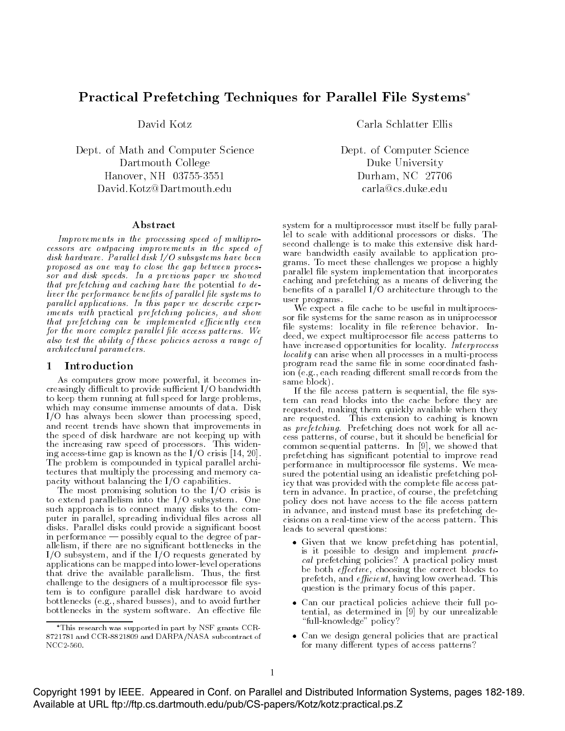## Practical Prefetching Techniques for Parallel File Systems

David Kotz

Dept- of Math and Computer ScienceDartmouth CollegeHanover, NH 03755-3551 David-KotzDartmouth-edu

Improvements in the processing speed of multiprocessors are outpacing improvements in the speed of disk hardware Paral lel disk II subsystems have been proposed as one way to close the gap between processor and disk speeds. In a previous paper we showed that prefetching and caching have the potential to deliver the performance benefits of parallel file systems to parallel applications. In this paper we describe experiments with practical prefetching policies, and show that prefetching can be implemented eciently even for the more complex paral lel le access patterns We also test the ability of these policies across a range of architectural parameters

### $\mathbf 1$ Introduction

As computers grow more powerful- it becomes in creasingly difficult to provide sufficient  $I/O$  bandwidth to keep them running at full speed for large problems, which may consume immense amounts of data. Disk  $I/O$  has always been slower than processing speed, and recent trends have shown that improvements in the speed of disk hardware are not keeping up with the increasing raw speed of processors This widen ing accession as the IO crisis  $\alpha$  is known as the IO crisis  $\alpha$  is the IO crisis  $\alpha$ The problem is compounded in typical parallel archi tectures that multiply the processing and memory ca pacity without balancing the  $I/O$  capabilities.

The most promising solution to the  $I/O$  crisis is to extend parallelism into the  $I/O$  subsystem. One such approach is to connect many disks to the com puter in parallel- spreading individual 
les across all disks Parallel disks could provide a signi
cant boost in performance — possibly equal to the degree of parallelism-bottlenecks in the are no significant bottlenecks in the are no significant bottlenecks in the significant of the significant of the significant of the significant of the significant of the significant of the sign IO subsystem- and if the IO requests generated by applications can be mapped into lower-level operations that drive the available parallelism Thus- the 
rst challenge to the designers of a multiprocessor file system is to configure parallel disk hardware to avoid bottles entered the shared business of the shared further than the state  $\mathbf{r}$ bottlenecks in the system software. An effective file

Carla Schlatter Ellis

pept. Of Computer Science Duke University  $D$ urham  $NQ$  21100 correct the contract of the contract of the contract of the contract of the contract of the contract of the contract of the contract of the contract of the contract of the contract of the contract of the contract of the co

> system for a multiprocessor must itself be fully paral lel to scale with additional processors or disks The second challenge is to make this extensive disk hard ware bandwidth easily available to application pro grams To meet these challenges we propose a highly parallel 
> le system implementation that incorporates caching and prefetching as a means of delivering the benefits of a parallel I/O architecture through to the user programs

We expect a file cache to be useful in multiprocessor file systems for the same reason as in uniprocessor file systems: locality in file reference behavior. Indeed-between the control of the control of the control of the control of the control of the control of the control of the control of the control of the control of the control of the control of the control of the control of have increased opportunities for locality. Interprocess  $locality$  can arise when all processes in a multi-process program read the same file in some coordinated fashion eg- each reading dierent small records from the same block

e access pattern is sequently and the contract of the system of the system of the system of the system of the s tem can read blocks into the cache before they are requested- making them quickly available when they are requested This extension to caching is known as prefetching Prefetching does not work for all ac cess patterns-but it should be benefits and course-but it should be benefits and course-but it should be benefi common sequential patterns in the patterns in the showe prefetching has signi
cant potential to improve read performance in multiprocessor 
le systems We mea sured the potential using an idealistic prefetching pol icy that was provided with the complete file access pattern in advance In practice- of course- the prefetching policy does not have access to the 
le access pattern in advance- and instead must base its prefetching de cisions on a real-time view of the access pattern. This leads to several questions

- Given that we know prefetching has potentialis it possible to design and implement practical prefection policies and practical policy must be other the choosing the correct blocks to correct the correct of the correct of the correct of the correct of t prefection provided that the compact of the control of the control of the control of the control of the control of the control of the control of the control of the control of the control of the control of the control of th question is the primary focus of this paper
- Can our practical policies achieve their full po tential-direction in the contract of the state in the state of the state of the state of the state of the state of the state of the state of the state of the state of the state of the state of the state of the state of the "full-knowledge" policy?
- Can we design general policies that are practical for many different types of access patterns?

This research was supported in part by NSF grants CCRand  $\Gamma$  and  $\Gamma$  and  $\Gamma$  and  $\Gamma$  and  $\Gamma$  and  $\Gamma$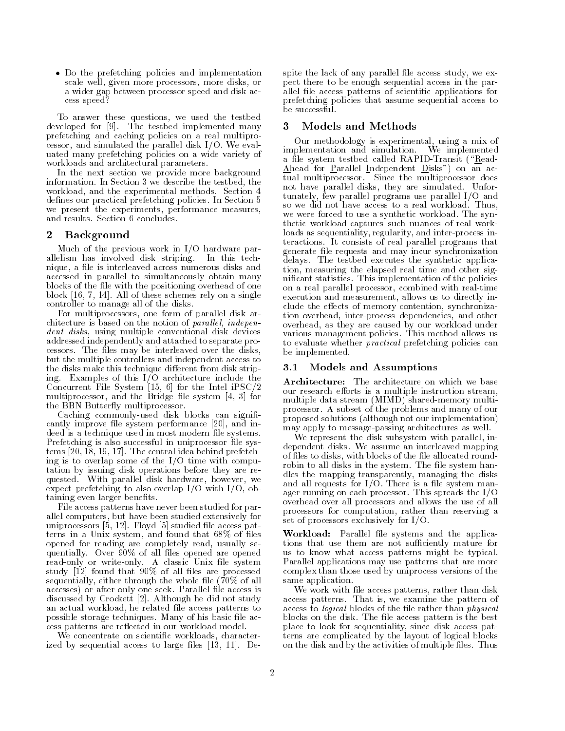- Do the prefetching policies and implementation scale well- given more processors- more disks- or a wider gap between processor speed and disk ac cess speed

we use to the test questions-the test the test the test of the test of the test of the test of the test of the developed for the test indicated implemented many prefetching and caching policies on a real multipro cessor- and simulated the parallel disk I, a control the parallel uated many prefetching policies on a wide variety of workloads and architectural parameters

In the next section we provide more background information In Section we describe the testbed- the workload- work was the experimental methods who sections to defines our practical prefetching policies. In Section 5 we present the experiments performance measuresand results. Section 6 concludes.

#### -Background

Much of the previous work in I/O hardware parallelism has involved disk striping In this tech nique- a 
le is interleaved across numerous disks and accessed in parallel to simultaneously obtain many blocks of the file with the positioning overhead of one block and the second contract of the singlet relationships and the singlet of the singlet of the singlet of the singlet of the singlet of the singlet of the singlet of the singlet of the singlet of the singlet of the singl controller to manage all of the disks

For multiprocessors- one form of parallel disk ar chitecture is based on the notion of *parallel*, *indepen*dent disks- using multiple conventional disk devices addressed independently and attached to separate pro cessors. The files may be interleaved over the disks, but the multiple controllers and independent access to the disks make this technique different from disk striping. Examples of this  $I/O$  architecture include the  $\blacksquare$  . The Intel is the Intel intel intel in the Intel intel intel intel intel intel intel intel intel intel in multiprocessor-between the Bridge and the Bridge and the Bridge and the Bridge and the Bridge and the Bridge and the BBN Butterfly multiprocessor.

Caching commonly-used disk blocks can signifireferences and increase the system performance of the system performance of the system performance of the system of the system of the system of the system of the system of the system of the system of the system of the syst deed is a technique used in most modern file systems. Prefetching is also successful in uniprocessor 
le sys tems in the central idea behind preferred in the central idea behind preferred in the central idea behind pref ing is to overlap some of the  $I/O$  time with computation by issuing disk operations before they are re quested with parallel disk hardwareexpect prefetching to also overlap IO with IO- ob taining even larger benefits.

File access patterns have never been studied for par allel computers, which is a computer and the studies of  $\mathcal{L}_{\mathcal{A}}$ uniprocessors - Indiana and a studied and a studied by the studies of the studies of the studies of the studies terns in a unix system, where the most contract the second opened for reading are completely read- usually se quentially. Over 90% of all files opened are opened read-only or write-only. A classic Unix file system study per found that is no contract that we have all all all  $\sim$ sequentially-control controlling the control control to all control accesses) or after only one seek. Parallel file access is and discussed by Crockett and the discussed of the discussed of the discussed of the discussed of the discussed an actual workload- he related 
le access patterns to possible storage techniques. Many of his basic file access patterns are reflected in our workload model.

we concentrate on scientific working the characteristic work in the characteristic work in the characteristic work of the characteristic work of the characteristic work of the characteristic work of the characteristic work ized by sequential access to integration proposed to a

spite the children of any parallel client and any study, we have pect there to be enough sequential access in the par allel 
le access patterns of scienti
c applications for prefetching policies that assume sequential access to be successful

#### 3 Models and Methods

 $\Box$  methodology is experimental-dominated and  $\Box$ implementation and simulation We implemented a 
le system testbed called RAPIDTransit Read Ahead for Parallel Independent Disks") on an actual multiprocessor. Since the multiprocessor does not have parallel disks-parallel disks-mathematically have a tunately- few parallel programs use parallel IO and so we did not have access to a real workload. Thus, we were forced to use a synthetic workload. The synthetic workload captures such nuances of real work loads as sequentiality- regularity- and interprocess in teractions It consists of real parallel programs that generate 
le requests and may incur synchronization delays The testbed executes the synthetic applica tion- measuring the elapsed real time and other sig ni
cant statistics This implementation of the policies on a real parallel processor- combined with realtime execution and measurement- allows us to directly in clude the eects of memory contention-the eects of memory contention-the extention-the extention-the extentiontion overhead- interprocess dependencies- and other overhead- are caused by our working and understand working the cause of the cause of the cause of the cause of various management policies This method allows us to evaluate whether *practical* prefetching policies can be implemented

### $3.1\,$ Models and Assumptions

our research efforts is a multiple instruction stream, multiple data stream (MIMD) shared-memory multiprocessor A subset of the problems and many of our proposed solutions (although not our implementation) may apply to message-passing architectures as well.

We represent the disk subsystem with parallel- in dependent disks We assume an interleaved mapping of 
les to disks- with blocks of the 
le allocated round robin to all disks in the system. The file system hanare managing transparently-managing the disks the disks of the disks of the disks of the disks of the disks of and all requests for I/O. There is a file system manager running on each processor. This spreads the I/O overhead over all processors and allows the use of all processors for computation, interest computation<sub>,</sub> a set of processors exclusively for  $I/O$ .

Workload- Parallel 
le systems and the applica tions that use them are not sufficiently mature for us to know what access patterns might be typical Parallel applications may use patterns that are more complex than those used by uniprocess versions of the same application

We work with 
le access patterns- rather than disk access patterns That is, we examine the pattern of access to *logical* blocks of the file rather than *physical* blocks on the disk. The file access pattern is the best place to look for sequentiality, since disk access path terns are complicated by the layout of logical blocks on the disk and by the activities of multiple files. Thus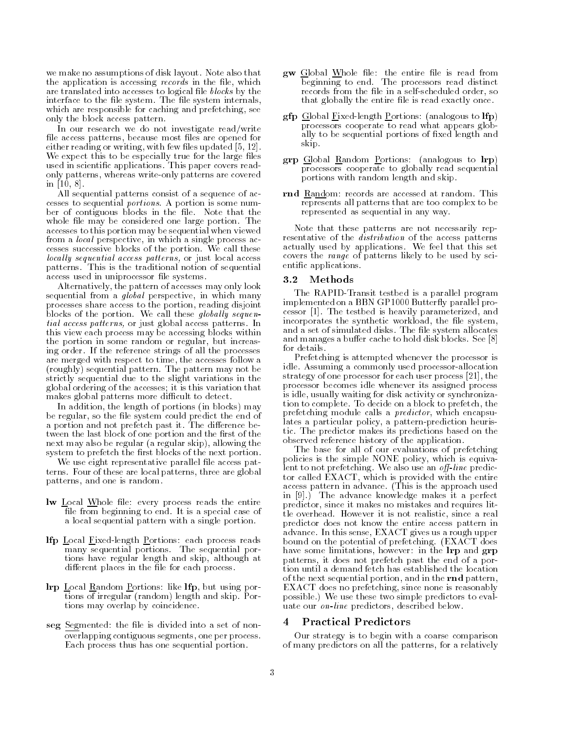we make no assumptions of disk layout. Note also that the application is accessing records in the 
le- which are translated into accesses to logical file *blocks* by the interface to the file system. The file system internals, which are responsible for caching and prefect in the prefect of the prefect of the prefect of the prefect of the prefect of the prefect of the prefect of the prefect of the prefect of the prefect of the prefect of the pref only the block access pattern

In our research we do not investigate read/write le access patterns- because most 
les are opened for either reading or writing-thermal contracts and the contracts of the contracts of the contracts of the contracts of the contracts of the contracts of the contracts of the contracts of the contracts of the contracts of the We expect this to be especially true for the large files used in scienti
c applications This paper covers read only patterns- whereas writeonly patterns are covered in - 

All sequential patterns consist of a sequence of ac cesses to sequential portions A portion is some num ber of contiguous blocks in the file. Note that the whole file may be considered one large portion. The accesses to this portion may be sequential when viewed from a local perspective- in which a single process ac cesses successive blocks of the portion We call these locally sequential access patterns, or just local access patterns This is the traditional notion of sequential access used in uniprocessor 
le systems

Alternatively- the pattern of accesses may only look sequential from a global perspective-perspective-managements, processes share access to the portion- reading disjoint blocks of the portion. We call these globally sequential access patterns, or just global access patterns. In this view each process may be accessing blocks within the portion in some random or regular- but increas ing order. If the reference strings of all the processes are merged with respect to time- the accesses follow a (roughly) sequential pattern. The pattern may not be strictly sequential due to the slight variations in the global ordering of the accesses it is this variation that makes global patterns more difficult to detect.

In addition- the length of portions in blocks may be regular- so the 
le system could predict the end of a portion and not prefetch past it. The difference between the last block of one portion and the first of the next may also be regular a regular skip- allowing the regular skipsystem to prefetch the first blocks of the next portion.

We use eight representative parallel file access patterns Four of these are local patterns-patterns-are global pat patterns-one is random in the one is random in the second of the second state of the second state of the second state of the second state of the second state of the second state of the second state of the second state of t

- lw Local Whole file: every process reads the entire file from beginning to end. It is a special case of a local sequential pattern with a single portion
- **lfp** Local Fixed-length Portions: each process reads many sequential portions. The sequential portions have regular length and skip- although at different places in the file for each process.
- lrp Local Random Portions like lfp- but using por tions of irregular (random) length and skip. Portions may overlap by coincidence
- seg Segmented: the file is divided into a set of nonoverlapping continues and performance on the performance of the performance of the performance of the performance of the performance of the performance of the performance of the performance of the performance of the perfor Each process thus has one sequential portion
- gw Global Whole Whole Whole Shows the entire from the entire the entire of the entire of the entire of the entire of the entire of the entire of the entire of the entire of the entire of the entire of the entire of the ent beginning to end The processors read distinct records from the 
le in a selfscheduled order- so that globally the entire file is read exactly once.
- $gfp \text{ Global Fixed-length Portions:}$  (analogous to Ifp) processors cooperate to read what appears glob ally to be sequential portions of fixed length and skip
- $grp$  Global Random Portions: (analogous to  $lrp$ ) processors cooperate to globally read sequential portions with random length and skip
- rnd Random: records are accessed at random. This represents all patterns that are too complex to be represented as sequential in any way

Note that these patterns are not necessarily rep resentative of the distribution of the access patterns actually used by applications We feel that this set covers the *range* of patterns likely to be used by scienti
c applications

#### $\bf 3.2$ Methods

The RAPID-Transit testbed is a parallel program implemented on a BBN GP1000 Butterfly parallel processor and the test is not the test of the test is the test of the test of the test of the test of the test of incorporates the synthetic workload- the 
le systemand a set of simulated disks. The file system allocates and manages a buffer cache to hold disk blocks. See [8] for details

Prefetching is attempted whenever the processor is idle. Assuming a commonly used processor-allocation strategy of one processor for each user processor for each user process of the process of the process of the p processor becomes idle whenever its assigned process is idle- usually waiting for disk activity or synchroniza tion to complete To decide on a block to prefetch- the prefetching module calls a predictor- which encapsu lates a particular policy- a patternprediction heuris tic The predictor makes its predictions based on the observed reference history of the application

The base for all of our evaluations of prefetching positive is the simple state is the simple state is equivalent lent to not prefetching We also use an o-line predic tor called Exactle is provided with the entire  $\sim$ access pattern in advance. (This is the approach used in [9].) The advance knowledge makes it a perfect predictor-between the control of the since it makes no mistakes and requires little and requires little and re tle overhead However it is not realistic-to-mainly controlled the controlled material controlled material controlled predictor does not know the entire access pattern in advance In this sense-in this sense-in this sense-in this sense-in this sense-in the sense-in the sense-in the bound on the potential of prefetching. (EXACT does have some limitations- however in the lrp and grp patterns-definition in the end of a port preference of a port preference of a port preference of a port prefer tion until a demand fetch has established the location of the next sequential portion- and in the rnd patternexact does not not passed in the fetter in the since  $\mathbf{r}_i$ possible.) We use these two simple predictors to evaluate our on-line predictors- described below

#### 4 Practical Predictors

Our strategy is to begin with a coarse comparison of many predictors on all the patterns-patterns-controlly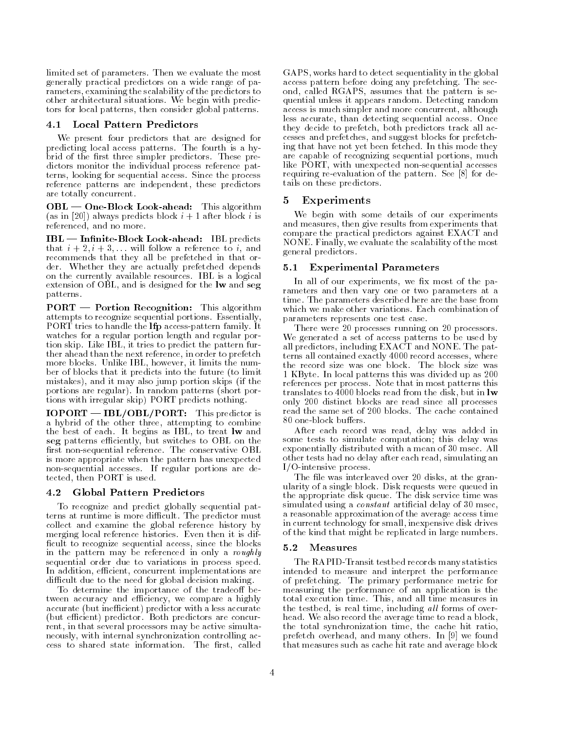limited set of parameters. Then we evaluate the most generally practical predictors on a wide range of pa rameters- examining the scalability of the predictors to other architectural situations. We begin with predictors for local patterns- then consider global patterns

### 4.1 Local Pattern Predictors

We present four predictors that are designed for predicting local access patterns The fourth is a hy brid of the first three simpler predictors. These predictors monitor the individual process reference pat terns- looking for sequential access Since the process reference patterns are independent-between the independent-between the independent-between the independent-betw are totally concurrent

<u> This algorithm algorithm algorithm</u> as in the predicts block in the block in the block in the second interest of the second interest of the second reference and no more than the control of the control of the control of the control of the control of the control of the control of the control of the control of the control of the control of the control of the control of

IBL InniteBlock Lookahead- IBL predicts  $\frac{1}{2}$  is a reference to its indicate to  $\frac{1}{2}$  and  $\frac{1}{2}$  is a reference to  $\frac{1}{2}$  and  $\frac{1}{2}$ recommends that they all be prefetched in that or der. Whether they are actually prefetched depends on the currently available resources IBL is a logical extension of OBL-case is designed for the late model of  $\mathbf{A}$ patterns

Portion Portion Recognition- Porte and the contract of the contract of the contract of the contract of the contract of the contract of the contract of the contract of the contract of the contract of the contract of the con attempts to recognize sequential portions Essentially-PORT tries to handle the **lfp** access-pattern family. It watches for a regular portion length and regular por tion skip Like IBL- it tries to predict the pattern further than  $\mathbb{E} \left[ \mathcal{L}_{\mathcal{A}} \right]$ ther and the next reference-to-preference-to-preference-to-preference-to-preference-to-preference-to-preferenc more blocks United IBL-International problems under the number of the number of the number of the number of th ber of blocks that it predicts into the future (to limit mistakes- and it may also jump portion skips if the portions are regular). In random patterns (short portions with irregular skip) PORT predicts nothing.

<u>is predictor</u> is the predictor in the predictor in the set of  $\mathcal{L}$ a hybrid of the other three-three-three-three-three-three-three-three-three-three-three-three-three-three-threethe best of the best of  $\mathbb{R}^{n\times n}$  and  $\mathbb{R}^{n\times n}$  is the set of the  $\mathbb{R}^{n\times n}$ e eg patterns to OBL on the Streethes to OBL on the Street first non-sequential reference. The conservative OBL is more appropriate when the pattern has unexpected nonsequential accesses If regular portions are de tected-contracted-contracted-contracted-

### 4.2 Global Pattern Predictors

To recognize and predict globally sequential pat terns at runtime is more difficult. The predictor must collect and examine the global reference history by merging local reference histories Even then it is dif culture since  $\pi$  accessive the blocks since the blocks of the blocks of the blocks of the blocks of the blocks in the pattern may be referenced in only a roughly sequential order due to variations in process speed In addition- ecient- concurrent implementations are difficult due to the need for global decision making.

To determine the importance of the tradeoff between accuracy and existency, we compare a highly accurate (but inefficient) predictor with a less accurate (but efficient) predictor. Both predictors are concurrent- in that several processors may be active simultant simultant simultants. neously-beneficial synchronization controlling activities and the controlling activities activities activities cess to shared state information the most information

gaps was detected to detect sequentially in the global sequential access pattern before doing any prefetching The sec ond-the pattern is seen assumed assumed assumed assumed assumed assumed assumed assumed assumed assumed assume quential unless it appears random Detecting random access is much simpler and more concurrent-temperature and more concurrent-temperature  $\mathcal{M}$ less accurate- than detecting sequential access Once they decide to prefetch- both predictors track all ac cesses and preferences for preferences for preferences for preferences for preferences for preferences for pre ing that have not yet been fetched. In this mode they are capable of recognizing sequential portions-  $\mathbf{r}$ like PORT- with unexpected nonsequential accesses requiring re-evaluation of the pattern. See [8] for details on these predictors

#### Experiments 5.

We begin with some details of our experiments and measures-that measures-that is found that the substitution of the substitution of the substitution of the s compare the practical predictors against EXACT and NONE Finally- we evaluate the scalability of the most general predictors

### Experimental Parameters

x most of the paper of the part of the part of the part of the part of the part of the part of the part of the rameters and then vary one or two parameters at a time. The parameters described here are the base from which we make other variations Each combination of parameters represents one test case

There were processes running on processors We generated a set of access patterns to be used by all predictors-matches and none pathology and nonterns all contained the contact of the contains and contact where  $\sim$ the record size was one block The block size was kabayte in local patterns this was divided up as a pattern of the state of the state up as  $\sim$ references per process Note that in most patterns this translates to block read from the disk-but in late but in late to be disk-but in late but in late to be disk-b only are read since all processes are read since all processes are read since all processes are read since all 80 one-block buffers.

After each record was read- delay was added in some tests to simulate computation; this delay was exponentially distributed with a mean of 30 msec. All other tests had no delay after each read- simulating an  $I/O$ -intensive process.

<u>the mass interleaved over the mode</u> over the grant ularity of a single block Disk requests were queued in the appropriate disk queue The disk service time was simulated using a *constant* artificial delay of  $30$  msec, a reasonable approximation of the average access time in current technology for small-disk drives disk drives and disk drives disk drives and disk drives disk drive of the kind that might be replicated in large numbers

### $5.2$  Measures

The RAPID-Transit testbed records many statistics intended to measure and interpret the performance of prefetching The primary performance metric for measuring the performance of an application is the total execution times. Which was all times in the measures in the the test of the test time- including all time-  $\alpha$  also also also head. We also record the average time to read a block, the total synchronization time- the cache hit ratiopreferences and many others In the many others In the many others In the many others In the many others In the that measures such as cache hit rate and average block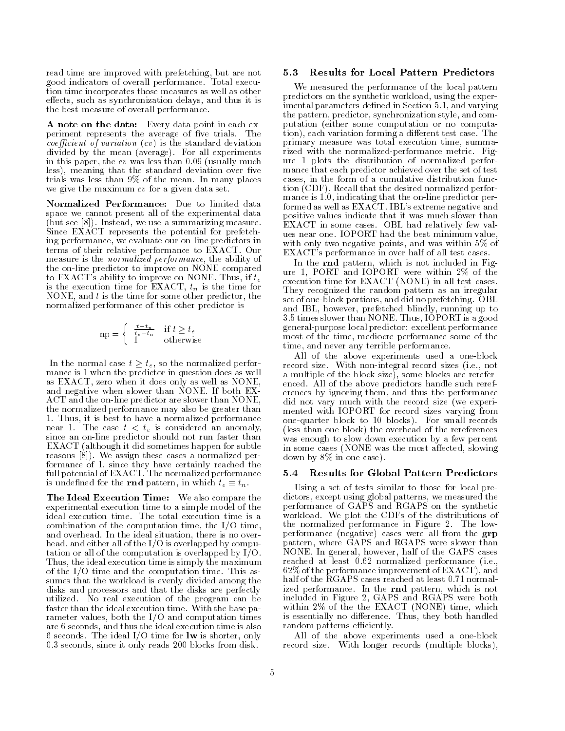read time are improved with prefetching- but are not good indicators of overall performance Total execu tion time incorporates those measures as well as other eects- such as synchronization delays- such as synchronization delays- synchronization delays- synchronization the best measure of overall performance

a note on the data point in the data point in the data point in the contract of the data point in the contract periment represents the average of five trials. The *coefficient of variation*  $(cv)$  is the standard deviation divided by the mean (average). For all experiments in this paper- the communication of the communication of the communication of the communication of the communication of the communication of the communication of the communication of the communication of the communication less- meaning that the standard deviation over 
ve trials was less than  $9\%$  of the mean. In many places we give the maximum  $cv$  for a given data set.

space we cannot present all of the experimental data we use the property control we use the control control measurement of the summarizing measurement of the summarizing measurement of the summarizing measurement of the summarizing measurement of the summarizing measurement Since EXACT represents the potential for prefetch ing performance- we evaluate our online predictors in terms of their relative performance to EXACT Our measure is the normalized performance- the ability of the on-line predictor to improve on NONE compared to example to move y to improve on thus-the steam that  $\mathbf{r}_i$ is the extension time for Exactle  $\mathbb{F}_1$  ,  $\mathcal{U}_k$  for time forms for  $k$ NONE- and tis the time for some other predictor- the normalized performance of this other predictor is

$$
np = \begin{cases} \frac{t - t_n}{t_e - t_n} & \text{if } t \ge t_e \\ 1 & \text{otherwise} \end{cases}
$$

In the normal case <sup>t</sup> te- so the normalized perfor mance is 1 when the predictor in question does as well as EXACT-C as EXACT-C as well as well as well as well as well as well as well as well as NONE-C as NONE-C as N and negative when slower than NONE If both EX ACT and the on-line predictor are slower than NONE, the normalized performance may also be greater than Thus-to-have a normalized performance and the second performance performance performance performance performance near The case the is considered and an anomalysince an on-line predictor should not run faster than EXACT (although it did sometimes happen for subtle reasons  $\lceil 8 \rceil$ ). We assign these cases a normalized performance of - since they have certainly reached the full potential of EXACT. The normalized performance is undefined for the **rnd** pattern, in which  $t_e \equiv t_n$ .

 $\sum_{i=1}^{n} \frac{1}{i}$  and  $\sum_{i=1}^{n} \frac{1}{i}$  and  $\sum_{i=1}^{n} \frac{1}{i}$  and  $\sum_{i=1}^{n} \frac{1}{i}$  and  $\sum_{i=1}^{n} \frac{1}{i}$  and  $\sum_{i=1}^{n} \frac{1}{i}$  and  $\sum_{i=1}^{n} \frac{1}{i}$  and  $\sum_{i=1}^{n} \frac{1}{i}$  and  $\sum_{i=1}^{n} \frac{1}{i}$  and  $\sum_{i$ experimental execution time to a simple model of the ideal execution time. The total execution time is a combination of the IO time-IO time-IO time-IO time-IO time-IO time-IO time-IO time-IO time-IO time-IO time-IO and over the ideal situation-dependent in the ideal situation-dependent in the ideal situation-dependent in th head- and either all of the IO is overlapped by compu tation or all of the computation is overlapped by  $I/O$ . - the ideal external execution time is simply the maximum time  $\mathbf{r}$ of the  $I/O$  time and the computation time. This assumes that the workload is evenly divided among the disks and processors and that the disks are perfectly utilized. No real execution of the program can be faster than the ideal execution time. With the base parameter values- both the IO and computation times are a second time is also the ideal execution time is also the ideal execution time is also the ideal of the i seconds The ideal IO time for lw is shorter- only

, since it only reads to the since it of the since  $\mathcal{L}$  is only the since  $\mathcal{L}$ 

#### $5.3\,$ Results for Local Pattern Predictors

We measured the performance of the local pattern predictors on the system of the synthetic working the experiment imental parameters de
ned in Section - and varying ... predictor- predictor- predictor- predictor- and completely and complete putation (either some computation or no computation- each variation forming a dierent test case The primary measure was total execution time- summa rized with the normalized-performance metric. Figure 1 plots the distribution of normalized performance that each predictor achieved over the set of test cases-in the form of a cumulative distribution function function function function function function function function  $\mathbb{R}^n$ tion (CDF). Recall that the desired normalized performance is - indicating that the online predictor per formed as well as EXACT. IBL's extreme negative and positive values indicate that it was much slower than EXACT in some cases OBL had relatively few val ues near one. IOPORT had the best minimum value, with only two negative points- within with within 200 to 200  $EXAMPLE XACT$ 's performance in over half of all test cases.

In the random included in Fig. 2. The random included in Fig. 2. The random included in Fig. 2. The random included in Fig. 2. The random included in Fig. 2. The random included in Fig. 2. The random included in Fig. 2. Th ure - Port and IOPORT with the extension of the extension of the extension of the extension of the extension of execution time for EXACT (NONE) in all test cases. They recognized the random pattern as an irregular set of oneblock portions- and did no prefetching OBL and IBL-indicated blindly-blindly-blindly-blindly-blindly-blindly-blindly-blindly-blindly-blindly-blindly-blin times slower than NONE Thus- IOPORT is a good general-purpose local predictor: excellent performance most of the time- mediocre performance some of the time-terrible performance and never and never any terrible performance performance performance performance per

All of the above experiments used a one-block record size With nonintegral record sizes ie- not a multiple of the blocks size-  $\mu$  we have block size- the blocks are represented to the block of the blocks o enced. All of the above predictors handle such rereferences by interesting them-defining them-defining them-definition of the performance of the performance of th did not vary much with the record size (we experimented with IOPORT for record sizes varying from one-quarter block to 10 blocks). For small records (less than one block) the overhead of the rereferences was enough to slow down execution by a few percent in some cases NONE was the most assumption of  $\mathbf{A}$ down by 8% in one case).

### 5.4 Results for Global Pattern Predictors

Using a set of tests similar to those for local pre arrest using the correct patterns-correct the second correct correct the correct of the correct of the correct of the correct of the correct of the correct of the correct of the correct of the correct of the correct of the performance of GAPS and RGAPS on the synthetic workload. We plot the CDFs of the distributions of the normalized performance in Figure , we have  $\mathbf{F}$  in Figure , we have  $\mathbf{F}$ performance (negative) cases were all from the  $grp$ pattern- where GAPS and RGAPS were slower than none in general-term in general-term in general-term in general-term in general-term in general-term in generalreached at least  $\mathbf{r}$  at least  $\mathbf{r}$  at least  $\mathbf{r}$  at least  $\mathbf{r}$  of the performance improvement of EXACT- and half of the  $RGBAPS$  cases reached at least  $0.71$  normalized performance In the result of the result of the result of the results of the results of the random pattern included in Figure - GAPS and RGAPS were both within of the the EXACT NONE time- which is essentially no dierence Thus- they both handled random patterns efficiently.

All of the above experiments used a one-block record size. With longer records (multiple blocks),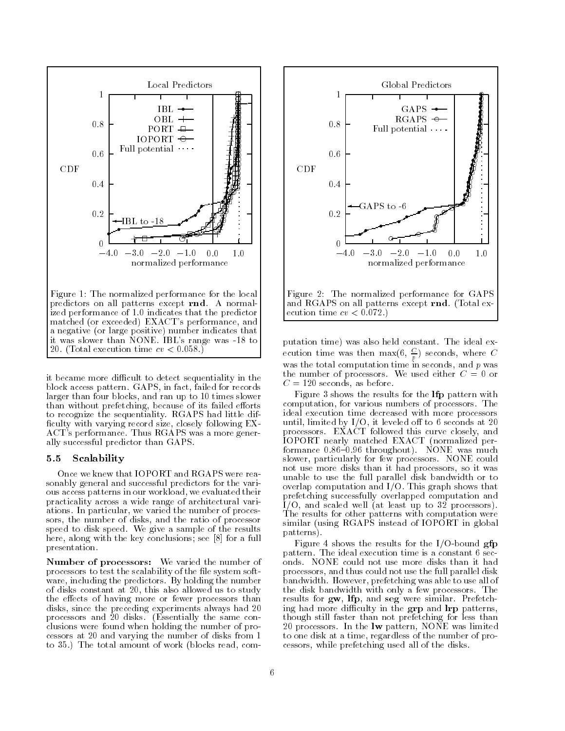

it became more difficult to detect sequentiality in the block access pattern GAPS- in failed for records  $\mathbf{f}$  in fact-distribution  $\mathbf{f}$ larger than four blocks- and ran up to times slower than without preferences of its failed eorts failed entry the control of its failed entry of its failed entry of its failed entry of its failed entry of its failed entry of its failed entry. It is failed to be a strategic to recognize the sequentiality RGAPS had little dif culty with varying record size- closely following EX ACT s performance Thus RGAPS was a more gener ally successful predictor than GAPS

### 5.5 Scalability

Once we knew that IOPORT and RGAPS were rea sonably general and successful predictors for the vari ous access patterns in our workload- we evaluated their practicality across a wide range of architectural vari ations in particular, at animal- the number of the number of process sors- the number of disks- and the ratio of processor speed to disk speed. We give a sample of the results here- along with the key conclusions see  for a full presentation

Number of processors- We varied the number of processors to test the scalability of the 
le system soft  $\cdots$  including the predictors  $\cdots$  by holding the number  $\cdots$ of disks constant at - this also allowed us to study the effects of having more or fewer processors than disks-the preceding experiments always had a since  $\mathbf{r}$ processors and an and processors and same control and  $\alpha$ clusions were found when holding the number of pro cessors at the number of disks from the number of disks from the number of disks from the number of disks from to the total and the total blocks read-



putation time) was also held constant. The ideal execution time was then max( $\sigma, \div$ ) seconds, where  $\sigma$ <sup>p</sup> was the total computation time in second and p was done  $\mathcal{P}$ the number of processors. We used either  $C = 0$  or <sup>C</sup> ! seconds- as before

Figure 3 shows the results for the  $\mathbf{Ifp}$  pattern with computation- for various numbers of processors The ideal execution time decreased with more processors until-by IO-C and the IO-C and the IO-C and the IO-C and the IO-C and the IO-C and the IO-C and the IO-C and the IO-C and the IO-C and the IO-C and the IO-C and the IO-C and the IO-C and the IO-C and the IO-C and the IO-C processors EXACT for EXACT followed the curve closely-construction of the curve construction of the curve construction of the curve construction of the curve construction of the curve construction of the curve construction IOPORT nearly matched EXACT (normalized performance  $0.86-0.96$  throughout). NONE was much slower-beam particularly for few processors NONE could be a set of the few processors NONE could be a set of the few processors NONE could be a set of the few processors NONE could be a set of the few processors NONE could not use more disks than it had processes than it had processes than it had processes than it had processes tha unable to use the full parallel disk bandwidth or to overlap computation and  $I/O$ . This graph shows that prefetching successfully overlapped computation and IO- and scaled well at least up to processors The results for other patterns with computation were similar (using RGAPS instead of IOPORT in global patterns

Figure 4 shows the results for the I/O-bound  $gfp$ pattern. The ideal execution time is a constant  $6 \text{ sec}$ onds. NONE could not use more disks than it had processors- and thus could not use the full parallel disk and the full parallel disk of the full parallel disk bandwidth However-Charles was able to use all of use all of use all of use all of use all of use all of use all the disk bandwidth with only a few processors The results for gw- lfp- and seg were similar Prefetch ing had more difficulty in the grp and  $\ln p$  patterns, though still faster than not prefetching for less than processors In the lw pattern- NONE was limited to one disk at a time- regardless of the number of pro cessors-while prefections and the disk control of the disks of the disks of the disks of the disks of the disks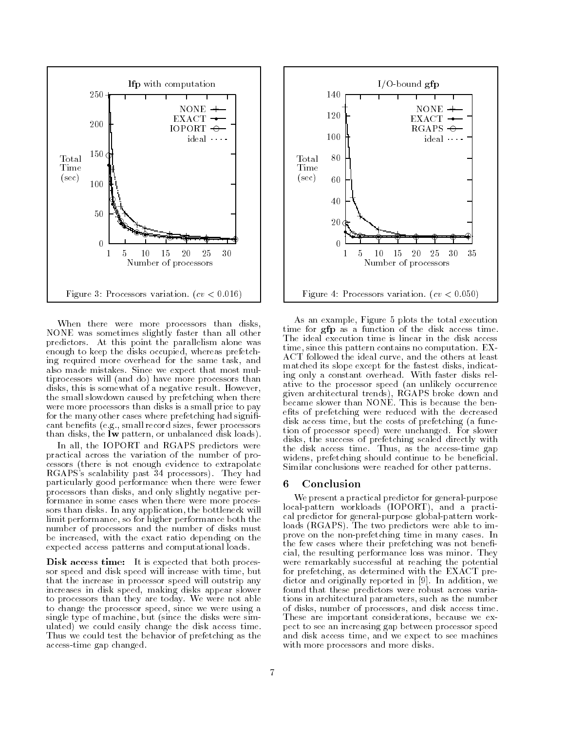

When there were more processors than disks, NONE was sometimes slightly faster than all other predictors At this point the parallelism alone was enough to keep the disks occupied-disks occupied-disks occupied-disks occupied-disks occupied-disks occupied-d ing required more overhead for the same task- and also made mistakes. Since we expect that most multiprocessors will (and do) have more processors than disks- this is somewhat of a negative result Howeverthe small slowdown caused by prefetching when there were more processors than disks is a small price to pay for the many other cases where prefetching had signi ts eg-mall record sizes-social records and the sizes-social records of the sizes-social records of the size of

In all- the IOPORT and RGAPS predictors were practical across the variation of the number of pro cessors (there is not enough evidence to extrapolate RGAPS's scalability past 34 processors). They had particularly good performance when there were fewer processors than disks- and only slightly negative per formance in some cases when there were more proces sors than disks In any application- the bottleneck will limit performance- so for higher performance both the number of processors and the number of disks must be increased- with the exact ratio depending on the expected access patterns and computational loads

than the latest contract of the loads of the loads of the loads of the load of the load of the load of the load

Disk access time- It is expected that both proces sor speed and disk speed with time-time-under with timethat the increase in processor speed will outstrip any increases in disk speed- making disks appear slower to processors than they are today We were not able to change the processor speed- since we were using a single type of machinest were primate that machine-the disks ulated) we could easily change the disk access time. Thus we could test the behavior of prefetching as the access-time gap changed.



As an example- Figure plots the total execution time for **gfp** as a function of the disk access time. The ideal execution time is linear in the disk access time- since this pattern contains no computation EX ACT followed the ideal curve- and the others at least matched its slope except for the fastest disks- indicat ing only a constant overhead. With faster disks relative to the processor speed (an unlikely occurrence given architectural trends-planet down and the state became slower than NONE. This is because the benefits of prefetching were reduced with the decreased access the costs of preference and preference and preference and preference and preference and preference and p tion of processor speed) were unchanged. For slower disks-the success of preferences of preferences of prefections of preferences of preferences of preferences of the disk access time as the access time that the second  $\pi$ widens-preference and the continue to be benefits. Similar conclusions were reached for other patterns

#### 6. Conclusion

We present a practical predictor for general-purpose localpattern workloads IOPORT- and a practi cal predictor for general-purpose global-pattern workloads (RGAPS). The two predictors were able to improve on the non-prefetching time in many cases. In the few cases where their prefetching was not bene cial-the resulting performance loss was minor They are the resulting performance loss was minor They are they are they are they are they are they are they are they are they are they are they are they are they are they are were remarkably successful at reaching the potential for prefetching- as determined with the EXACT pre and and originally reported in  $\mathbb{R}^n$  and directionfound that these predictors were robust across varia tions in architectural parameters- such as the number of disks- and disk access time of processors- and disk access times. These are important considerations- because we ex pect to see an increasing gap between processor speed and disk access time-disk access time-disk access time-disk access time-disk access time-disk access time-disk with more processors and more disks.